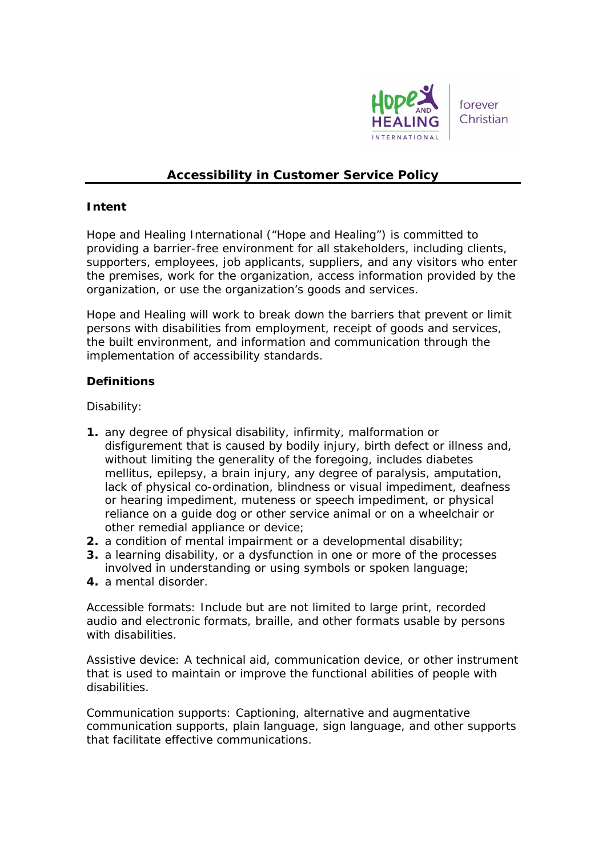

# **Accessibility in Customer Service Policy**

### **Intent**

Hope and Healing International ("Hope and Healing") is committed to providing a barrier-free environment for all stakeholders, including clients, supporters, employees, job applicants, suppliers, and any visitors who enter the premises, work for the organization, access information provided by the organization, or use the organization's goods and services.

Hope and Healing will work to break down the barriers that prevent or limit persons with disabilities from employment, receipt of goods and services, the built environment, and information and communication through the implementation of accessibility standards.

### **Definitions**

### *Disability:*

- **1.** any degree of physical disability, infirmity, malformation or disfigurement that is caused by bodily injury, birth defect or illness and, without limiting the generality of the foregoing, includes diabetes mellitus, epilepsy, a brain injury, any degree of paralysis, amputation, lack of physical co-ordination, blindness or visual impediment, deafness or hearing impediment, muteness or speech impediment, or physical reliance on a guide dog or other service animal or on a wheelchair or other remedial appliance or device;
- **2.** a condition of mental impairment or a developmental disability;
- **3.** a learning disability, or a dysfunction in one or more of the processes involved in understanding or using symbols or spoken language;
- **4.** a mental disorder.

*Accessible formats*: Include but are not limited to large print, recorded audio and electronic formats, braille, and other formats usable by persons with disabilities.

*Assistive device*: A technical aid, communication device, or other instrument that is used to maintain or improve the functional abilities of people with disabilities.

*Communication supports*: Captioning, alternative and augmentative communication supports, plain language, sign language, and other supports that facilitate effective communications.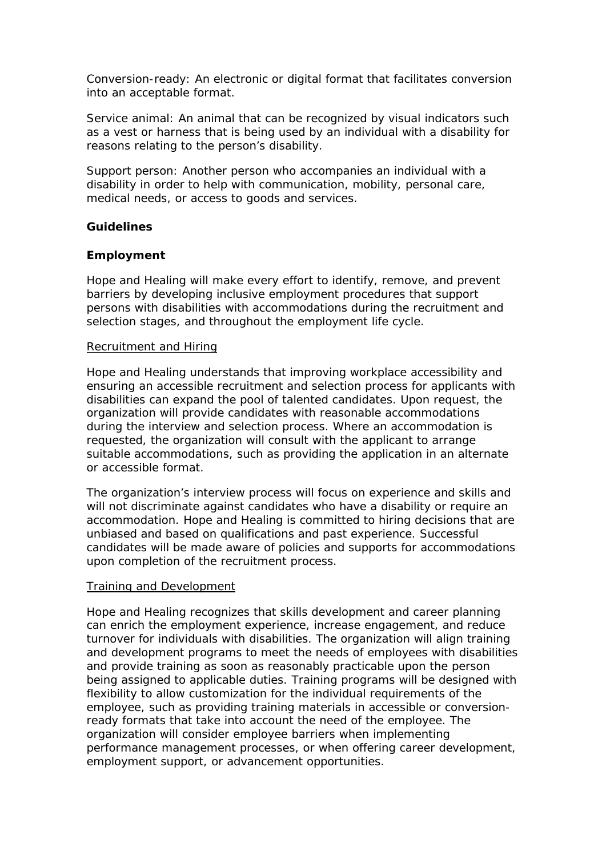*Conversion-ready*: An electronic or digital format that facilitates conversion into an acceptable format.

*Service animal*: An animal that can be recognized by visual indicators such as a vest or harness that is being used by an individual with a disability for reasons relating to the person's disability.

*Support person*: Another person who accompanies an individual with a disability in order to help with communication, mobility, personal care, medical needs, or access to goods and services.

### **Guidelines**

### **Employment**

Hope and Healing will make every effort to identify, remove, and prevent barriers by developing inclusive employment procedures that support persons with disabilities with accommodations during the recruitment and selection stages, and throughout the employment life cycle.

#### Recruitment and Hiring

Hope and Healing understands that improving workplace accessibility and ensuring an accessible recruitment and selection process for applicants with disabilities can expand the pool of talented candidates. Upon request, the organization will provide candidates with reasonable accommodations during the interview and selection process. Where an accommodation is requested, the organization will consult with the applicant to arrange suitable accommodations, such as providing the application in an alternate or accessible format.

The organization's interview process will focus on experience and skills and will not discriminate against candidates who have a disability or require an accommodation. Hope and Healing is committed to hiring decisions that are unbiased and based on qualifications and past experience. Successful candidates will be made aware of policies and supports for accommodations upon completion of the recruitment process.

### Training and Development

Hope and Healing recognizes that skills development and career planning can enrich the employment experience, increase engagement, and reduce turnover for individuals with disabilities. The organization will align training and development programs to meet the needs of employees with disabilities and provide training as soon as reasonably practicable upon the person being assigned to applicable duties. Training programs will be designed with flexibility to allow customization for the individual requirements of the employee, such as providing training materials in accessible or conversionready formats that take into account the need of the employee. The organization will consider employee barriers when implementing performance management processes, or when offering career development, employment support, or advancement opportunities.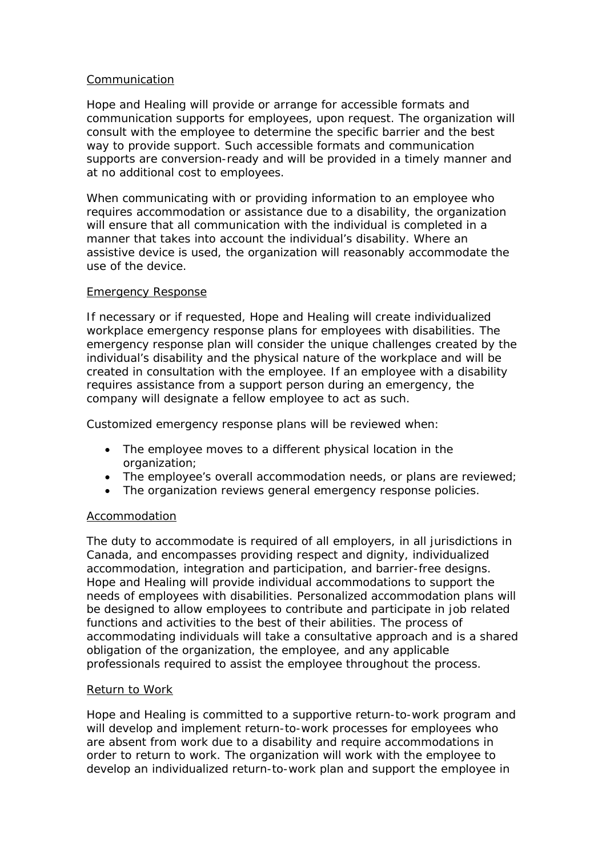### Communication

Hope and Healing will provide or arrange for accessible formats and communication supports for employees, upon request. The organization will consult with the employee to determine the specific barrier and the best way to provide support. Such accessible formats and communication supports are conversion-ready and will be provided in a timely manner and at no additional cost to employees.

When communicating with or providing information to an employee who requires accommodation or assistance due to a disability, the organization will ensure that all communication with the individual is completed in a manner that takes into account the individual's disability. Where an assistive device is used, the organization will reasonably accommodate the use of the device.

### Emergency Response

If necessary or if requested, Hope and Healing will create individualized workplace emergency response plans for employees with disabilities. The emergency response plan will consider the unique challenges created by the individual's disability and the physical nature of the workplace and will be created in consultation with the employee. If an employee with a disability requires assistance from a support person during an emergency, the company will designate a fellow employee to act as such.

Customized emergency response plans will be reviewed when:

- The employee moves to a different physical location in the organization;
- The employee's overall accommodation needs, or plans are reviewed;
- The organization reviews general emergency response policies.

# Accommodation

The duty to accommodate is required of all employers, in all jurisdictions in Canada, and encompasses providing respect and dignity, individualized accommodation, integration and participation, and barrier-free designs. Hope and Healing will provide individual accommodations to support the needs of employees with disabilities. Personalized accommodation plans will be designed to allow employees to contribute and participate in job related functions and activities to the best of their abilities. The process of accommodating individuals will take a consultative approach and is a shared obligation of the organization, the employee, and any applicable professionals required to assist the employee throughout the process.

### Return to Work

Hope and Healing is committed to a supportive return-to-work program and will develop and implement return-to-work processes for employees who are absent from work due to a disability and require accommodations in order to return to work. The organization will work with the employee to develop an individualized return-to-work plan and support the employee in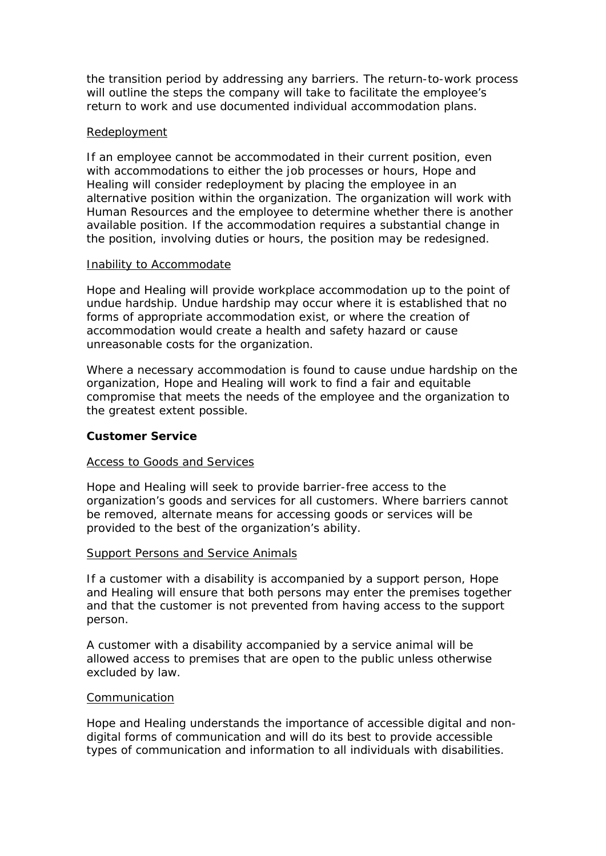the transition period by addressing any barriers. The return-to-work process will outline the steps the company will take to facilitate the employee's return to work and use documented individual accommodation plans.

### Redeployment

If an employee cannot be accommodated in their current position, even with accommodations to either the job processes or hours, Hope and Healing will consider redeployment by placing the employee in an alternative position within the organization. The organization will work with Human Resources and the employee to determine whether there is another available position. If the accommodation requires a substantial change in the position, involving duties or hours, the position may be redesigned.

### Inability to Accommodate

Hope and Healing will provide workplace accommodation up to the point of undue hardship. Undue hardship may occur where it is established that no forms of appropriate accommodation exist, or where the creation of accommodation would create a health and safety hazard or cause unreasonable costs for the organization.

Where a necessary accommodation is found to cause undue hardship on the organization, Hope and Healing will work to find a fair and equitable compromise that meets the needs of the employee and the organization to the greatest extent possible.

### **Customer Service**

### Access to Goods and Services

Hope and Healing will seek to provide barrier-free access to the organization's goods and services for all customers. Where barriers cannot be removed, alternate means for accessing goods or services will be provided to the best of the organization's ability.

### Support Persons and Service Animals

If a customer with a disability is accompanied by a support person, Hope and Healing will ensure that both persons may enter the premises together and that the customer is not prevented from having access to the support person.

A customer with a disability accompanied by a service animal will be allowed access to premises that are open to the public unless otherwise excluded by law.

### Communication

Hope and Healing understands the importance of accessible digital and nondigital forms of communication and will do its best to provide accessible types of communication and information to all individuals with disabilities.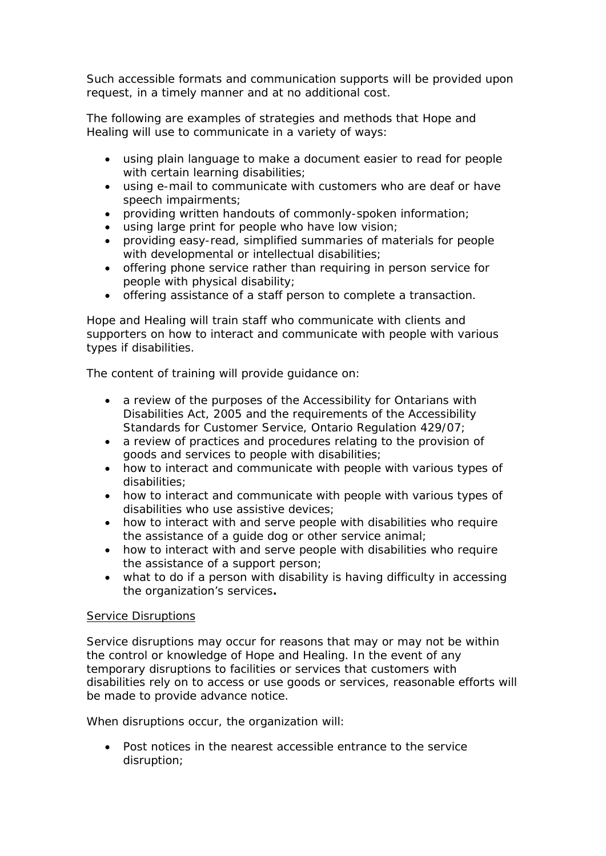Such accessible formats and communication supports will be provided upon request, in a timely manner and at no additional cost.

The following are examples of strategies and methods that Hope and Healing will use to communicate in a variety of ways:

- using plain language to make a document easier to read for people with certain learning disabilities;
- using e-mail to communicate with customers who are deaf or have speech impairments;
- providing written handouts of commonly-spoken information;
- using large print for people who have low vision;
- providing easy-read, simplified summaries of materials for people with developmental or intellectual disabilities;
- offering phone service rather than requiring in person service for people with physical disability;
- offering assistance of a staff person to complete a transaction.

Hope and Healing will train staff who communicate with clients and supporters on how to interact and communicate with people with various types if disabilities.

The content of training will provide guidance on:

- a review of the purposes of the Accessibility for Ontarians with Disabilities Act, 2005 and the requirements of the Accessibility Standards for Customer Service, Ontario Regulation 429/07;
- a review of practices and procedures relating to the provision of goods and services to people with disabilities;
- how to interact and communicate with people with various types of disabilities;
- how to interact and communicate with people with various types of disabilities who use assistive devices;
- how to interact with and serve people with disabilities who require the assistance of a guide dog or other service animal;
- how to interact with and serve people with disabilities who require the assistance of a support person;
- what to do if a person with disability is having difficulty in accessing the organization's services**.**

# **Service Disruptions**

Service disruptions may occur for reasons that may or may not be within the control or knowledge of Hope and Healing. In the event of any temporary disruptions to facilities or services that customers with disabilities rely on to access or use goods or services, reasonable efforts will be made to provide advance notice.

When disruptions occur, the organization will:

• Post notices in the nearest accessible entrance to the service disruption;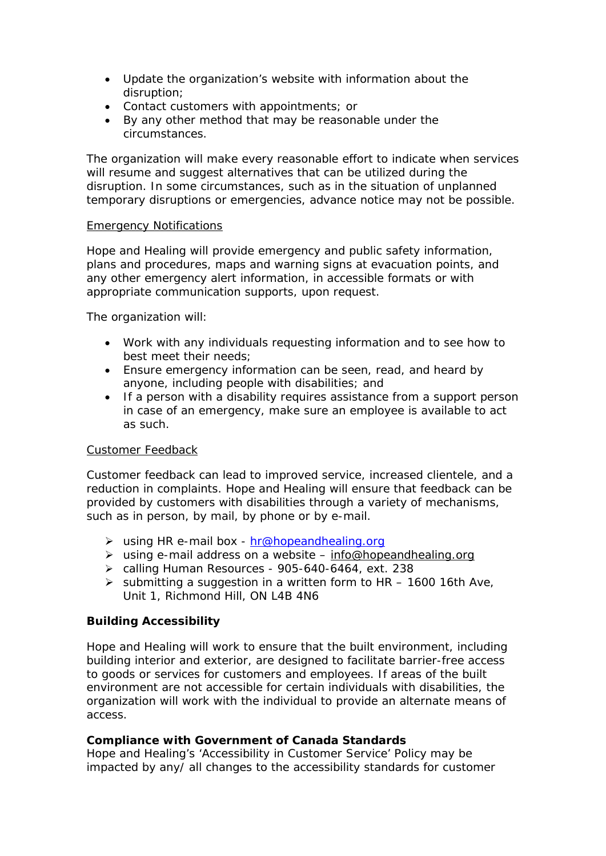- Update the organization's website with information about the disruption;
- Contact customers with appointments; or
- By any other method that may be reasonable under the circumstances.

The organization will make every reasonable effort to indicate when services will resume and suggest alternatives that can be utilized during the disruption. In some circumstances, such as in the situation of unplanned temporary disruptions or emergencies, advance notice may not be possible.

### Emergency Notifications

Hope and Healing will provide emergency and public safety information, plans and procedures, maps and warning signs at evacuation points, and any other emergency alert information, in accessible formats or with appropriate communication supports, upon request.

The organization will:

- Work with any individuals requesting information and to see how to best meet their needs;
- Ensure emergency information can be seen, read, and heard by anyone, including people with disabilities; and
- If a person with a disability requires assistance from a support person in case of an emergency, make sure an employee is available to act as such.

# Customer Feedback

Customer feedback can lead to improved service, increased clientele, and a reduction in complaints. Hope and Healing will ensure that feedback can be provided by customers with disabilities through a variety of mechanisms, such as in person, by mail, by phone or by e-mail.

- > using HR e-mail box [hr@hopeandhealing.org](mailto:hr@hopeandhealing.org)
- using e-mail address on a website [info@hopeandhealing.org](mailto:info@hopeandhealing.org)
- calling Human Resources 905-640-6464, ext. 238
- $\triangleright$  submitting a suggestion in a written form to HR 1600 16th Ave, Unit 1, Richmond Hill, ON L4B 4N6

# **Building Accessibility**

Hope and Healing will work to ensure that the built environment, including building interior and exterior, are designed to facilitate barrier-free access to goods or services for customers and employees. If areas of the built environment are not accessible for certain individuals with disabilities, the organization will work with the individual to provide an alternate means of access.

# **Compliance with Government of Canada Standards**

Hope and Healing's 'Accessibility in Customer Service' Policy may be impacted by any/ all changes to the accessibility standards for customer